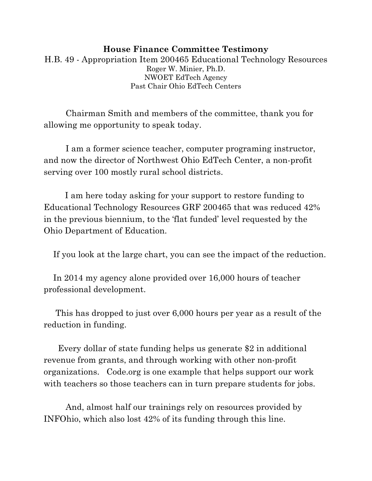### **House Finance Committee Testimony** H.B. 49 - Appropriation Item 200465 Educational Technology Resources Roger W. Minier, Ph.D. NWOET EdTech Agency Past Chair Ohio EdTech Centers

Chairman Smith and members of the committee, thank you for allowing me opportunity to speak today.

I am a former science teacher, computer programing instructor, and now the director of Northwest Ohio EdTech Center, a non-profit serving over 100 mostly rural school districts.

 I am here today asking for your support to restore funding to Educational Technology Resources GRF 200465 that was reduced 42% in the previous biennium, to the 'flat funded' level requested by the Ohio Department of Education.

If you look at the large chart, you can see the impact of the reduction.

 In 2014 my agency alone provided over 16,000 hours of teacher professional development.

 This has dropped to just over 6,000 hours per year as a result of the reduction in funding.

 Every dollar of state funding helps us generate \$2 in additional revenue from grants, and through working with other non-profit organizations. Code.org is one example that helps support our work with teachers so those teachers can in turn prepare students for jobs.

And, almost half our trainings rely on resources provided by INFOhio, which also lost 42% of its funding through this line.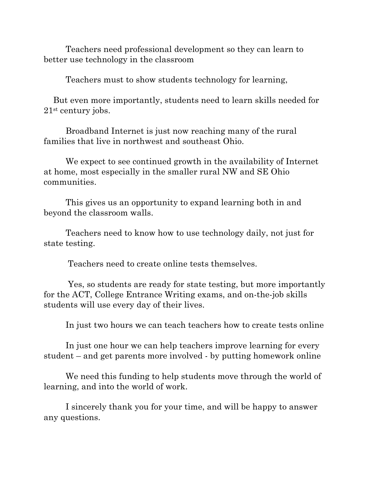Teachers need professional development so they can learn to better use technology in the classroom

Teachers must to show students technology for learning,

 But even more importantly, students need to learn skills needed for 21st century jobs.

Broadband Internet is just now reaching many of the rural families that live in northwest and southeast Ohio.

We expect to see continued growth in the availability of Internet at home, most especially in the smaller rural NW and SE Ohio communities.

This gives us an opportunity to expand learning both in and beyond the classroom walls.

Teachers need to know how to use technology daily, not just for state testing.

Teachers need to create online tests themselves.

Yes, so students are ready for state testing, but more importantly for the ACT, College Entrance Writing exams, and on-the-job skills students will use every day of their lives.

In just two hours we can teach teachers how to create tests online

In just one hour we can help teachers improve learning for every student – and get parents more involved - by putting homework online

We need this funding to help students move through the world of learning, and into the world of work.

I sincerely thank you for your time, and will be happy to answer any questions.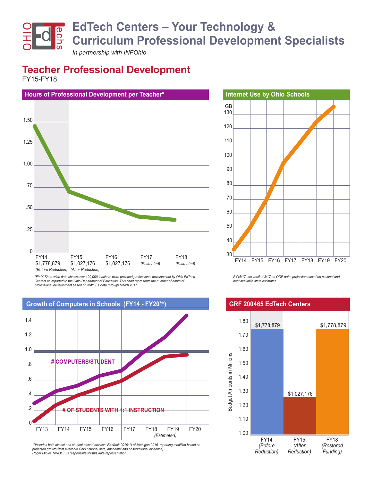# **EdTech Centers – Your Technology & Curriculum Professional Development Specialists**

*In partnership with INFOhio*

## **Teacher Professional Development**

FY15-FY18



*\*FY14 State-wide data shows over 120,000 teachers were provided professional development by Ohio EdTech*  Centers as reported to the Ohio Department of Education. This chart represents the number of hours of *professional development based on NWOET data through March 2017.* 



*\*\*Includes both district and student owned devices. EdWeek 2016; U of Michigan 2016, reporting modified based on projected growth from available Ohio national data, anecdotal and observational evidence). Roger Minier, NWOET, is responsible for this data representation.*



*FY16/17 use verified 3/17 on ODE data; projection based on national and best available state estimates.*